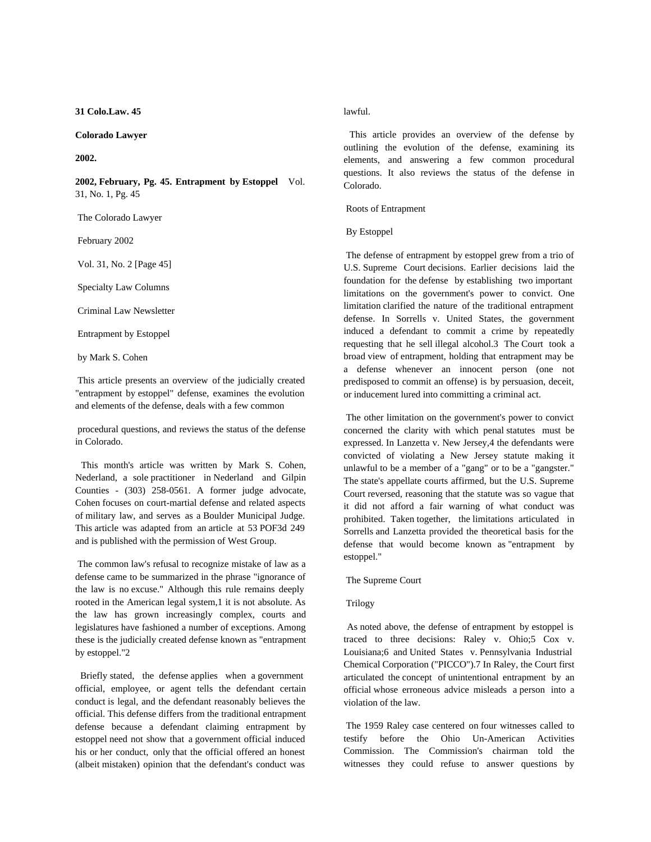**31 Colo.Law. 45**

# **Colorado Lawyer**

### **2002.**

**2002, February, Pg. 45. Entrapment by Estoppel** Vol. 31, No. 1, Pg. 45

The Colorado Lawyer

February 2002

Vol. 31, No. 2 [Page 45]

Specialty Law Columns

Criminal Law Newsletter

Entrapment by Estoppel

by Mark S. Cohen

 This article presents an overview of the judicially created "entrapment by estoppel" defense, examines the evolution and elements of the defense, deals with a few common

 procedural questions, and reviews the status of the defense in Colorado.

This month's article was written by Mark S. Cohen, Nederland, a sole practitioner in Nederland and Gilpin Counties -(303) 258-0561. A former judge advocate, Cohen focuses on court-martial defense and related aspects of military law, and serves as a Boulder Municipal Judge. This article was adapted from an article at 53 POF3d 249 and is published with the permission of West Group.

 The common law's refusal to recognize mistake of law as a defense came to be summarized in the phrase "ignorance of the law is no excuse." Although this rule remains deeply rooted in the American legal system,1 it is not absolute. As the law has grown increasingly complex, courts and legislatures have fashioned a number of exceptions. Among these is the judicially created defense known as "entrapment by estoppel."2

Briefly stated, the defense applies when a government official, employee, or agent tells the defendant certain conduct is legal, and the defendant reasonably believes the official. This defense differs from the traditional entrapment defense because a defendant claiming entrapment by estoppel need not show that a government official induced his or her conduct, only that the official offered an honest (albeit mistaken) opinion that the defendant's conduct was

lawful.

This article provides an overview of the defense by outlining the evolution of the defense, examining its elements, and answering a few common procedural questions. It also reviews the status of the defense in Colorado.

Roots of Entrapment

#### By Estoppel

 The defense of entrapment by estoppel grew from a trio of U.S. Supreme Court decisions. Earlier decisions laid the foundation for the defense by establishing two important limitations on the government's power to convict. One limitation clarified the nature of the traditional entrapment defense. In Sorrells v. United States, the government induced a defendant to commit a crime by repeatedly requesting that he sell illegal alcohol.3 The Court took a broad view of entrapment, holding that entrapment may be a defense whenever an innocent person (one not predisposed to commit an offense) is by persuasion, deceit, or inducement lured into committing a criminal act.

 The other limitation on the government's power to convict concerned the clarity with which penal statutes must be expressed. In Lanzetta v. New Jersey,4 the defendants were convicted of violating a New Jersey statute making it unlawful to be a member of a "gang" or to be a "gangster." The state's appellate courts affirmed, but the U.S. Supreme Court reversed, reasoning that the statute was so vague that it did not afford a fair warning of what conduct was prohibited. Taken together, the limitations articulated in Sorrells and Lanzetta provided the theoretical basis for the defense that would become known as "entrapment by estoppel."

The Supreme Court

#### Trilogy

As noted above, the defense of entrapment by estoppel is traced to three decisions: Raley v. Ohio;5 Cox v. Louisiana;6 and United States v. Pennsylvania Industrial Chemical Corporation ("PICCO").7 In Raley, the Court first articulated the concept of unintentional entrapment by an official whose erroneous advice misleads a person into a violation of the law.

 The 1959 Raley case centered on four witnesses called to testify before the Ohio Un-American Activities Commission. The Commission's chairman told the witnesses they could refuse to answer questions by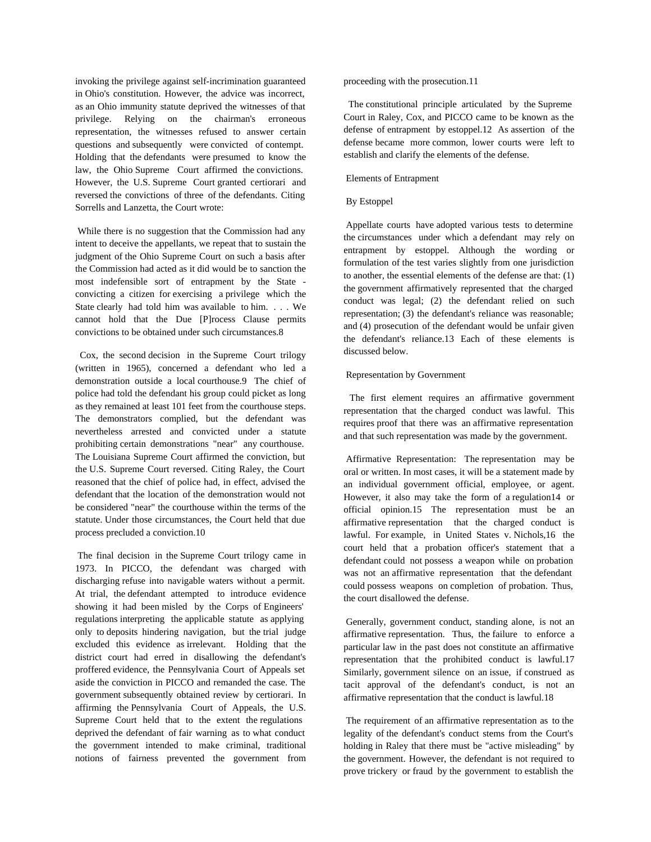invoking the privilege against self-incrimination guaranteed in Ohio's constitution. However, the advice was incorrect, as an Ohio immunity statute deprived the witnesses of that privilege. Relying on the chairman's erroneous representation, the witnesses refused to answer certain questions and subsequently were convicted of contempt. Holding that the defendants were presumed to know the law, the Ohio Supreme Court affirmed the convictions. However, the U.S. Supreme Court granted certiorari and reversed the convictions of three of the defendants. Citing Sorrells and Lanzetta, the Court wrote:

 While there is no suggestion that the Commission had any intent to deceive the appellants, we repeat that to sustain the judgment of the Ohio Supreme Court on such a basis after the Commission had acted as it did would be to sanction the most indefensible sort of entrapment by the State convicting a citizen for exercising a privilege which the State clearly had told him was available to him. . . . We cannot hold that the Due [P]rocess Clause permits convictions to be obtained under such circumstances.8

Cox, the second decision in the Supreme Court trilogy (written in 1965), concerned a defendant who led a demonstration outside a local courthouse.9 The chief of police had told the defendant his group could picket as long as they remained at least 101 feet from the courthouse steps. The demonstrators complied, but the defendant was nevertheless arrested and convicted under a statute prohibiting certain demonstrations "near" any courthouse. The Louisiana Supreme Court affirmed the conviction, but the U.S. Supreme Court reversed. Citing Raley, the Court reasoned that the chief of police had, in effect, advised the defendant that the location of the demonstration would not be considered "near" the courthouse within the terms of the statute. Under those circumstances, the Court held that due process precluded a conviction.10

 The final decision in the Supreme Court trilogy came in 1973. In PICCO, the defendant was charged with discharging refuse into navigable waters without a permit. At trial, the defendant attempted to introduce evidence showing it had been misled by the Corps of Engineers' regulations interpreting the applicable statute as applying only to deposits hindering navigation, but the trial judge excluded this evidence as irrelevant. Holding that the district court had erred in disallowing the defendant's proffered evidence, the Pennsylvania Court of Appeals set aside the conviction in PICCO and remanded the case. The government subsequently obtained review by certiorari. In affirming the Pennsylvania Court of Appeals, the U.S. Supreme Court held that to the extent the regulations deprived the defendant of fair warning as to what conduct the government intended to make criminal, traditional notions of fairness prevented the government from proceeding with the prosecution.11

The constitutional principle articulated by the Supreme Court in Raley, Cox, and PICCO came to be known as the defense of entrapment by estoppel.12 As assertion of the defense became more common, lower courts were left to establish and clarify the elements of the defense.

### Elements of Entrapment

### By Estoppel

 Appellate courts have adopted various tests to determine the circumstances under which a defendant may rely on entrapment by estoppel. Although the wording or formulation of the test varies slightly from one jurisdiction to another, the essential elements of the defense are that: (1) the government affirmatively represented that the charged conduct was legal; (2) the defendant relied on such representation; (3) the defendant's reliance was reasonable; and (4) prosecution of the defendant would be unfair given the defendant's reliance.13 Each of these elements is discussed below.

### Representation by Government

The first element requires an affirmative government representation that the charged conduct was lawful. This requires proof that there was an affirmative representation and that such representation was made by the government.

 Affirmative Representation: The representation may be oral or written. In most cases, it will be a statement made by an individual government official, employee, or agent. However, it also may take the form of a regulation14 or official opinion.15 The representation must be an affirmative representation that the charged conduct is lawful. For example, in United States v. Nichols,16 the court held that a probation officer's statement that a defendant could not possess a weapon while on probation was not an affirmative representation that the defendant could possess weapons on completion of probation. Thus, the court disallowed the defense.

 Generally, government conduct, standing alone, is not an affirmative representation. Thus, the failure to enforce a particular law in the past does not constitute an affirmative representation that the prohibited conduct is lawful.17 Similarly, government silence on an issue, if construed as tacit approval of the defendant's conduct, is not an affirmative representation that the conduct is lawful.18

 The requirement of an affirmative representation as to the legality of the defendant's conduct stems from the Court's holding in Raley that there must be "active misleading" by the government. However, the defendant is not required to prove trickery or fraud by the government to establish the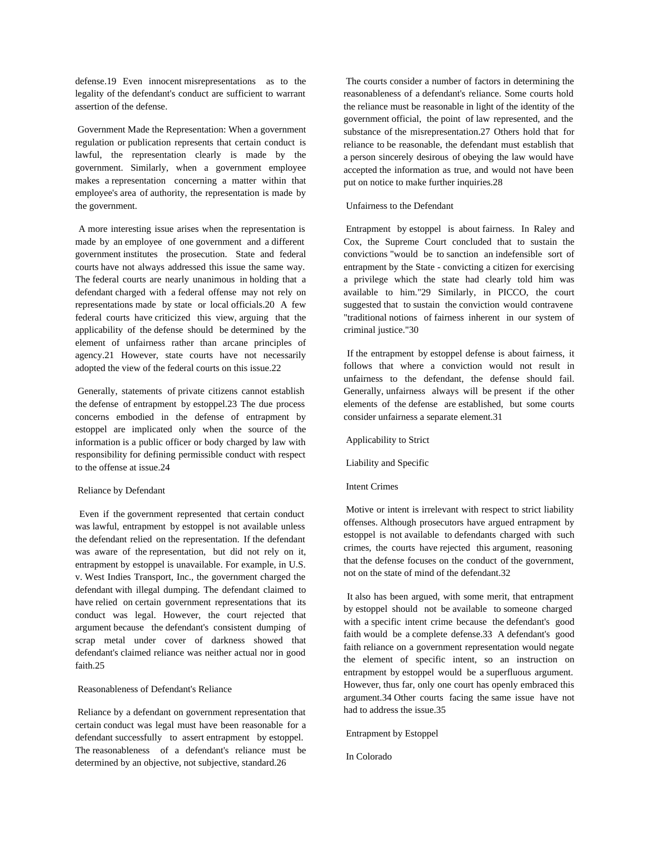defense.19 Even innocent misrepresentations as to the legality of the defendant's conduct are sufficient to warrant assertion of the defense.

 Government Made the Representation: When a government regulation or publication represents that certain conduct is lawful, the representation clearly is made by the government. Similarly, when a government employee makes a representation concerning amatter within that employee's area of authority, the representation is made by the government.

A more interesting issue arises when the representation is made by an employee of one government and a different government institutes the prosecution. State and federal courts have not always addressed this issue the same way. The federal courts are nearly unanimous in holding that a defendant charged with a federal offense may not rely on representations made by state or local officials.20 A few federal courts have criticized this view, arguing that the applicability of the defense should be determined by the element of unfairness rather than arcane principles of agency.21 However, state courts have not necessarily adopted the view of the federal courts on this issue.22

 Generally, statements of private citizens cannot establish the defense of entrapment by estoppel.23 The due process concerns embodied in the defense of entrapment by estoppel are implicated only when the source of the information is a public officer or body charged by law with responsibility for defining permissible conduct with respect to the offense at issue.24

#### Reliance by Defendant

Even if the government represented that certain conduct was lawful, entrapment by estoppel is not available unless the defendant relied on the representation. If the defendant was aware of the representation, but did not rely on it, entrapment by estoppel is unavailable. For example, in U.S. v. West Indies Transport, Inc., the government charged the defendant with illegal dumping. The defendant claimed to have relied on certain government representations that its conduct was legal. However, the court rejected that argument because the defendant's consistent dumping of scrap metal under cover of darkness showed that defendant's claimed reliance was neither actual nor in good faith.25

# Reasonableness of Defendant's Reliance

 Reliance by a defendant on government representation that certain conduct was legal must have been reasonable for a defendant successfully to assert entrapment by estoppel. The reasonableness of a defendant's reliance must be determined by an objective, not subjective, standard.26

 The courts consider a number of factors in determining the reasonableness of a defendant's reliance. Some courts hold the reliance must be reasonable in light of the identity of the government official, the point of law represented, and the substance of the misrepresentation.27 Others hold that for reliance to be reasonable, the defendant must establish that a person sincerely desirous of obeying the law would have accepted the information as true, and would not have been put on notice to make further inquiries.28

### Unfairness to the Defendant

 Entrapment by estoppel is about fairness. In Raley and Cox, the Supreme Court concluded that to sustain the convictions "would be to sanction an indefensible sort of entrapment by the State - convicting a citizen for exercising a privilege which the state had clearly told him was available to him."29 Similarly, in PICCO, the court suggested that to sustain the conviction would contravene "traditional notions of fairness inherent in our system of criminal justice."30

If the entrapment by estoppel defense is about fairness, it follows that where a conviction would not result in unfairness to the defendant, the defense should fail. Generally, unfairness always will be present if the other elements of the defense are established, but some courts consider unfairness a separate element.31

Applicability to Strict

Liability and Specific

# Intent Crimes

 Motive or intent is irrelevant with respect to strict liability offenses. Although prosecutors have argued entrapment by estoppel is not available to defendants charged with such crimes, the courts have rejected this argument, reasoning that the defense focuses on the conduct of the government, not on the state of mind of the defendant.32

It also has been argued, with some merit, that entrapment by estoppel should not be available to someone charged with a specific intent crime because the defendant's good faith would be a complete defense.33 A defendant's good faith reliance on a government representation would negate the element of specific intent, so an instruction on entrapment by estoppel would be a superfluous argument. However, thus far, only one court has openly embraced this argument.34 Other courts facing the same issue have not had to address the issue.35

Entrapment by Estoppel

In Colorado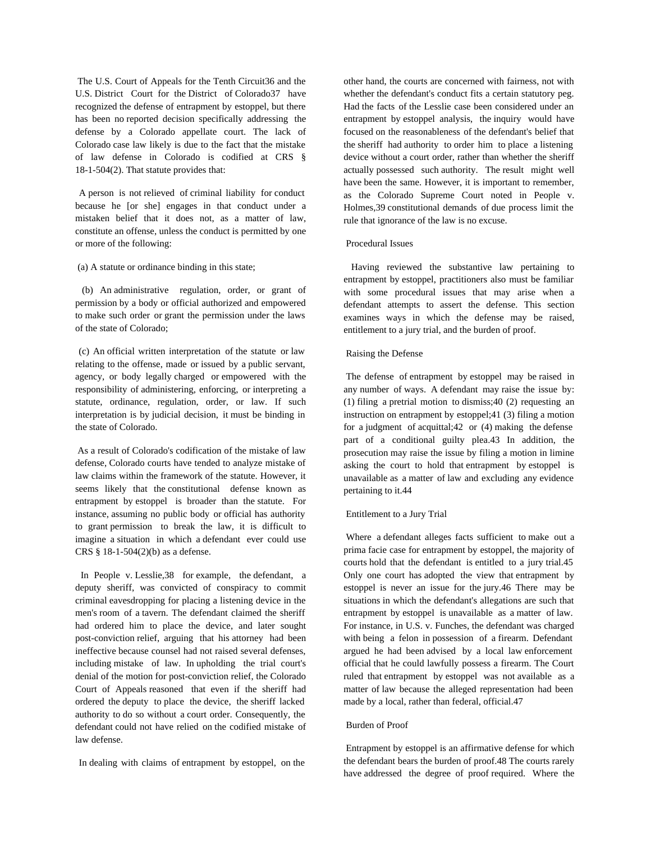The U.S. Court of Appeals for the Tenth Circuit36 and the U.S. District Court for the District of Colorado37 have recognized the defense of entrapment by estoppel, but there has been no reported decision specifically addressing the defense by a Colorado appellate court. The lack of Colorado case law likely is due to the fact that the mistake of law defense in Colorado is codified at CRS § 18-1-504(2). That statute provides that:

A person is not relieved of criminal liability for conduct because he [or she] engages in that conduct under a mistaken belief that it does not, as a matter of law, constitute an offense, unless the conduct is permitted by one or more of the following:

(a) A statute or ordinance binding in this state;

(b) An administrative regulation, order, or grant of permission by a body or official authorized and empowered to make such order or grant the permission under the laws of the state of Colorado;

(c) An official written interpretation of the statute or law relating to the offense, made or issued by a public servant, agency, or body legally charged or empowered with the responsibility of administering, enforcing, or interpreting a statute, ordinance, regulation, order, or law. If such interpretation is by judicial decision, it must be binding in the state of Colorado.

 As a result of Colorado's codification of the mistake of law defense, Colorado courts have tended to analyze mistake of law claims within the framework of the statute. However, it seems likely that the constitutional defense known as entrapment by estoppel is broader than the statute. For instance, assuming no public body or official has authority to grant permission to break the law, it is difficult to imagine a situation in which a defendant ever could use CRS § 18-1-504(2)(b) as a defense.

In People v. Lesslie,38 for example, the defendant, a deputy sheriff, was convicted of conspiracy to commit criminal eavesdropping for placing a listening device in the men's room of a tavern. The defendant claimed the sheriff had ordered him to place the device, and later sought post-conviction relief, arguing that his attorney had been ineffective because counsel had not raised several defenses, including mistake of law. In upholding the trial court's denial of the motion for post-conviction relief, the Colorado Court of Appeals reasoned that even if the sheriff had ordered the deputy to place the device, the sheriff lacked authority to do so without a court order. Consequently, the defendant could not have relied on the codified mistake of law defense.

In dealing with claims of entrapment by estoppel, on the

other hand, the courts are concerned with fairness, not with whether the defendant's conduct fits a certain statutory peg. Had the facts of the Lesslie case been considered under an entrapment by estoppel analysis, the inquiry would have focused on the reasonableness of the defendant's belief that the sheriff had authority to order him to place a listening device without a court order, rather than whether the sheriff actually possessed such authority. The result might well have been the same. However, it is important to remember, as the Colorado Supreme Court noted in People v. Holmes,39 constitutional demands of due process limit the rule that ignorance of the law is no excuse.

# Procedural Issues

Having reviewed the substantive law pertaining to entrapment by estoppel, practitioners also must be familiar with some procedural issues that may arise when a defendant attempts to assert the defense. This section examines ways in which the defense may be raised, entitlement to a jury trial, and the burden of proof.

#### Raising the Defense

 The defense of entrapment by estoppel may be raised in any number of ways. A defendant may raise the issue by: (1) filing a pretrial motion to dismiss;40 (2) requesting an instruction on entrapment by estoppel;41 (3) filing a motion for a judgment of acquittal;42 or (4) making the defense part of a conditional guilty plea.43 In addition, the prosecution may raise the issue by filing a motion in limine asking the court to hold that entrapment by estoppel is unavailable as a matter of law and excluding any evidence pertaining to it.44

# Entitlement to a Jury Trial

 Where a defendant alleges facts sufficient to make out a prima facie case for entrapment by estoppel, the majority of courts hold that the defendant is entitled to a jury trial.45 Only one court has adopted the view that entrapment by estoppel is never an issue for the jury.46 There may be situations in which the defendant's allegations are such that entrapment by estoppel is unavailable as a matter of law. For instance, in U.S. v. Funches, the defendant was charged with being a felon in possession of a firearm. Defendant argued he had been advised by a local law enforcement official that he could lawfully possess a firearm. The Court ruled that entrapment by estoppel was not available as a matter of law because the alleged representation had been made by a local, rather than federal, official.47

### Burden of Proof

 Entrapment by estoppel is an affirmative defense for which the defendant bears the burden of proof.48 The courts rarely have addressed the degree of proof required. Where the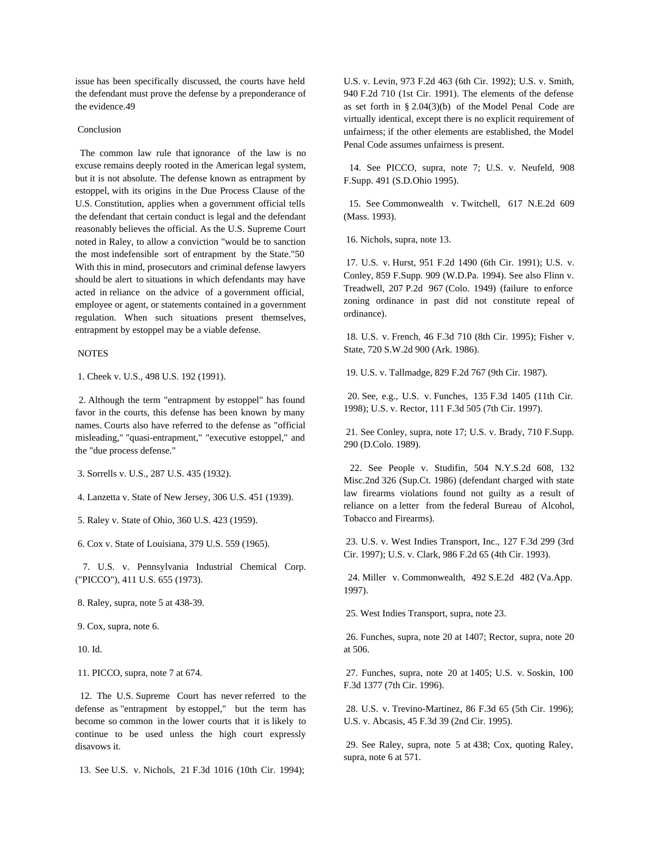issue has been specifically discussed, the courts have held the defendant must prove the defense by a preponderance of the evidence.49

### Conclusion

The common law rule that ignorance of the law is no excuse remains deeply rooted in the American legal system, but it is not absolute. The defense known as entrapment by estoppel, with its origins in the Due Process Clause of the U.S. Constitution, applies when a government official tells the defendant that certain conduct is legal and the defendant reasonably believes the official. As the U.S. Supreme Court noted in Raley, to allow a conviction "would be to sanction the most indefensible sort of entrapment by the State."50 With this in mind, prosecutors and criminal defense lawyers should be alert to situations in which defendants may have acted in reliance on the advice of a government official, employee or agent, or statements contained in a government regulation. When such situations present themselves, entrapment by estoppel may be a viable defense.

#### **NOTES**

1. Cheek v. U.S., 498 U.S. 192 (1991).

2. Although the term "entrapment by estoppel" has found favor in the courts, this defense has been known by many names. Courts also have referred to the defense as "official misleading," "quasi-entrapment," "executive estoppel," and the "due process defense."

3. Sorrells v. U.S., 287 U.S. 435 (1932).

4. Lanzetta v. State of New Jersey, 306 U.S. 451 (1939).

5. Raley v. State of Ohio, 360 U.S. 423 (1959).

6. Cox v. State of Louisiana, 379 U.S. 559 (1965).

7. U.S. v. Pennsylvania Industrial Chemical Corp. ("PICCO"), 411 U.S. 655 (1973).

8. Raley, supra, note 5 at 438-39.

9. Cox, supra, note 6.

10. Id.

11. PICCO, supra, note 7 at 674.

12. The U.S. Supreme Court has never referred to the defense as "entrapment by estoppel," but the term has become so common in the lower courts that it is likely to continue to be used unless the high court expressly disavows it.

13. See U.S. v. Nichols, 21 F.3d 1016 (10th Cir. 1994);

U.S. v. Levin, 973 F.2d 463 (6th Cir. 1992); U.S. v. Smith, 940 F.2d 710 (1st Cir. 1991). The elements of the defense as set forth in § 2.04(3)(b) of the Model Penal Code are virtually identical, except there is no explicit requirement of unfairness; if the other elements are established, the Model Penal Code assumes unfairness is present.

14. See PICCO, supra, note 7; U.S. v. Neufeld, 908 F.Supp. 491 (S.D.Ohio 1995).

15. See Commonwealth v. Twitchell, 617 N.E.2d 609 (Mass. 1993).

16. Nichols, supra, note 13.

 17. U.S. v. Hurst, 951 F.2d 1490 (6th Cir. 1991); U.S. v. Conley, 859 F.Supp. 909 (W.D.Pa. 1994). See also Flinn v. Treadwell, 207 P.2d 967 (Colo. 1949) (failure to enforce zoning ordinance in past did not constitute repeal of ordinance).

 18. U.S. v. French, 46 F.3d 710 (8th Cir. 1995); Fisher v. State, 720 S.W.2d 900 (Ark. 1986).

19. U.S. v. Tallmadge, 829 F.2d 767 (9th Cir. 1987).

20. See, e.g., U.S. v. Funches, 135 F.3d 1405 (11th Cir. 1998); U.S. v. Rector, 111 F.3d 505 (7th Cir. 1997).

 21. See Conley, supra, note 17; U.S. v. Brady, 710 F.Supp. 290 (D.Colo. 1989).

22. See People v. Studifin, 504 N.Y.S.2d 608, 132 Misc.2nd 326 (Sup.Ct. 1986) (defendant charged with state law firearms violations found not guilty as a result of reliance on a letter from the federal Bureau of Alcohol, Tobacco and Firearms).

 23. U.S. v. West Indies Transport, Inc., 127 F.3d 299 (3rd Cir. 1997); U.S. v. Clark, 986 F.2d 65 (4th Cir. 1993).

24. Miller v. Commonwealth, 492 S.E.2d 482 (Va.App. 1997).

25. West Indies Transport, supra, note 23.

 26. Funches, supra, note 20 at 1407; Rector, supra, note 20 at 506.

 27. Funches, supra, note 20 at 1405; U.S. v. Soskin, 100 F.3d 1377 (7th Cir. 1996).

 28. U.S. v. Trevino-Martinez, 86 F.3d 65 (5th Cir. 1996); U.S. v. Abcasis, 45 F.3d 39 (2nd Cir. 1995).

 29. See Raley, supra, note 5 at 438; Cox, quoting Raley, supra, note 6 at 571.